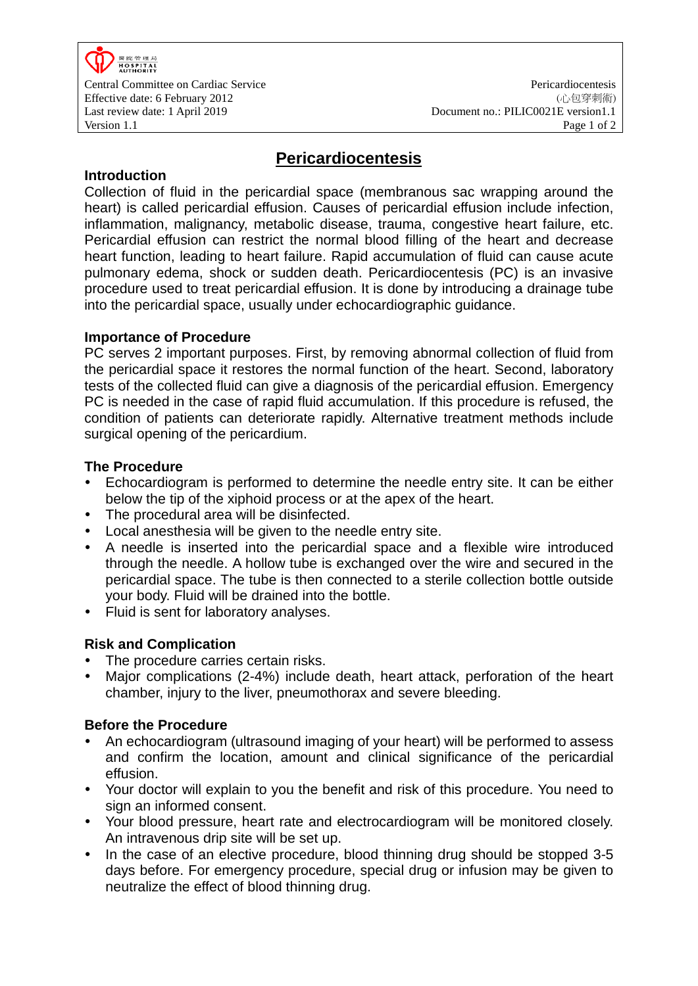

Central Committee on Cardiac Service Pericardiocentesis (心包穿刺術) Document no.: PILIC0021E version1.1

# **Pericardiocentesis**

### **Introduction**

Collection of fluid in the pericardial space (membranous sac wrapping around the heart) is called pericardial effusion. Causes of pericardial effusion include infection, inflammation, malignancy, metabolic disease, trauma, congestive heart failure, etc. Pericardial effusion can restrict the normal blood filling of the heart and decrease heart function, leading to heart failure. Rapid accumulation of fluid can cause acute pulmonary edema, shock or sudden death. Pericardiocentesis (PC) is an invasive procedure used to treat pericardial effusion. It is done by introducing a drainage tube into the pericardial space, usually under echocardiographic guidance.

### **Importance of Procedure**

PC serves 2 important purposes. First, by removing abnormal collection of fluid from the pericardial space it restores the normal function of the heart. Second, laboratory tests of the collected fluid can give a diagnosis of the pericardial effusion. Emergency PC is needed in the case of rapid fluid accumulation. If this procedure is refused, the condition of patients can deteriorate rapidly. Alternative treatment methods include surgical opening of the pericardium.

## **The Procedure**

- Echocardiogram is performed to determine the needle entry site. It can be either below the tip of the xiphoid process or at the apex of the heart.
- The procedural area will be disinfected.
- Local anesthesia will be given to the needle entry site.
- A needle is inserted into the pericardial space and a flexible wire introduced through the needle. A hollow tube is exchanged over the wire and secured in the pericardial space. The tube is then connected to a sterile collection bottle outside your body. Fluid will be drained into the bottle.
- Fluid is sent for laboratory analyses.

## **Risk and Complication**

- The procedure carries certain risks.
- Major complications (2-4%) include death, heart attack, perforation of the heart chamber, injury to the liver, pneumothorax and severe bleeding.

#### **Before the Procedure**

- An echocardiogram (ultrasound imaging of your heart) will be performed to assess and confirm the location, amount and clinical significance of the pericardial effusion.
- Your doctor will explain to you the benefit and risk of this procedure. You need to sign an informed consent.
- Your blood pressure, heart rate and electrocardiogram will be monitored closely. An intravenous drip site will be set up.
- In the case of an elective procedure, blood thinning drug should be stopped 3-5 days before. For emergency procedure, special drug or infusion may be given to neutralize the effect of blood thinning drug.